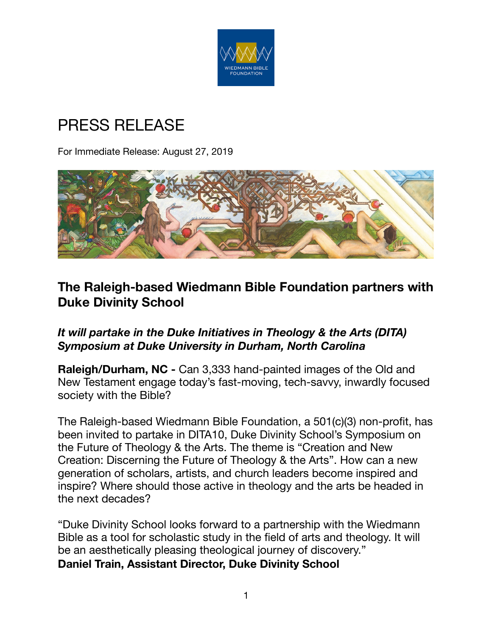

# PRESS RELEASE

For Immediate Release: August 27, 2019



# **The Raleigh-based Wiedmann Bible Foundation partners with Duke Divinity School**

## *It will partake in the Duke Initiatives in Theology & the Arts (DITA) Symposium at Duke University in Durham, North Carolina*

**Raleigh/Durham, NC -** Can 3,333 hand-painted images of the Old and New Testament engage today's fast-moving, tech-savvy, inwardly focused society with the Bible?

The Raleigh-based Wiedmann Bible Foundation, a 501(c)(3) non-profit, has been invited to partake in DITA10, Duke Divinity School's Symposium on the Future of Theology & the Arts. The theme is "Creation and New Creation: Discerning the Future of Theology & the Arts". How can a new generation of scholars, artists, and church leaders become inspired and inspire? Where should those active in theology and the arts be headed in the next decades?

"Duke Divinity School looks forward to a partnership with the Wiedmann Bible as a tool for scholastic study in the field of arts and theology. It will be an aesthetically pleasing theological journey of discovery." **Daniel Train, Assistant Director, Duke Divinity School**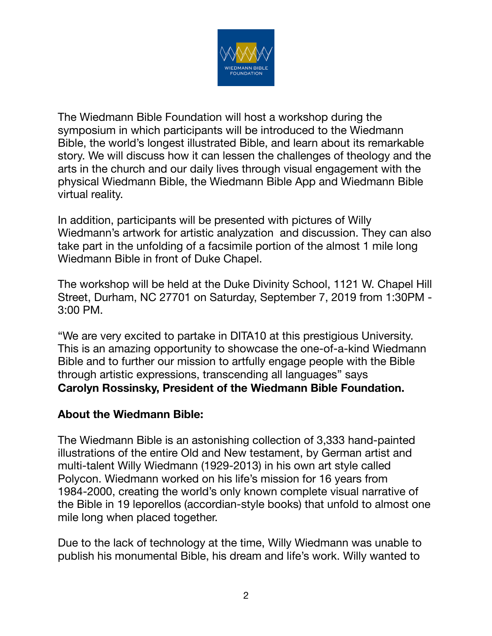

The Wiedmann Bible Foundation will host a workshop during the symposium in which participants will be introduced to the Wiedmann Bible, the world's longest illustrated Bible, and learn about its remarkable story. We will discuss how it can lessen the challenges of theology and the arts in the church and our daily lives through visual engagement with the physical Wiedmann Bible, the Wiedmann Bible App and Wiedmann Bible virtual reality.

In addition, participants will be presented with pictures of Willy Wiedmann's artwork for artistic analyzation and discussion. They can also take part in the unfolding of a facsimile portion of the almost 1 mile long Wiedmann Bible in front of Duke Chapel.

The workshop will be held at the Duke Divinity School, 1121 W. Chapel Hill Street, Durham, NC 27701 on Saturday, September 7, 2019 from 1:30PM - 3:00 PM.

"We are very excited to partake in DITA10 at this prestigious University. This is an amazing opportunity to showcase the one-of-a-kind Wiedmann Bible and to further our mission to artfully engage people with the Bible through artistic expressions, transcending all languages" says **Carolyn Rossinsky, President of the Wiedmann Bible Foundation.** 

#### **About the Wiedmann Bible:**

The Wiedmann Bible is an astonishing collection of 3,333 hand-painted illustrations of the entire Old and New testament, by German artist and multi-talent Willy Wiedmann (1929-2013) in his own art style called Polycon. Wiedmann worked on his life's mission for 16 years from 1984-2000, creating the world's only known complete visual narrative of the Bible in 19 leporellos (accordian-style books) that unfold to almost one mile long when placed together.

Due to the lack of technology at the time, Willy Wiedmann was unable to publish his monumental Bible, his dream and life's work. Willy wanted to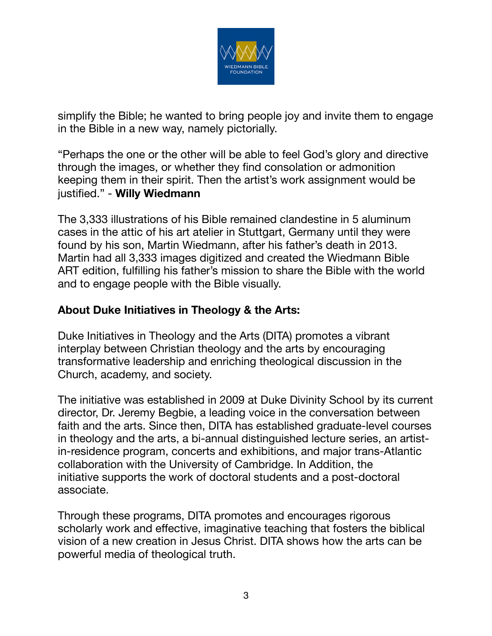

simplify the Bible; he wanted to bring people joy and invite them to engage in the Bible in a new way, namely pictorially.

"Perhaps the one or the other will be able to feel God's glory and directive through the images, or whether they find consolation or admonition keeping them in their spirit. Then the artist's work assignment would be justified." - **Willy Wiedmann** 

The 3,333 illustrations of his Bible remained clandestine in 5 aluminum cases in the attic of his art atelier in Stuttgart, Germany until they were found by his son, Martin Wiedmann, after his father's death in 2013. Martin had all 3,333 images digitized and created the Wiedmann Bible ART edition, fulfilling his father's mission to share the Bible with the world and to engage people with the Bible visually.

## **About Duke Initiatives in Theology & the Arts:**

Duke Initiatives in Theology and the Arts (DITA) promotes a vibrant interplay between Christian theology and the arts by encouraging transformative leadership and enriching theological discussion in the Church, academy, and society.

The initiative was established in 2009 at Duke Divinity School by its current director, Dr. Jeremy Begbie, a leading voice in the conversation between faith and the arts. Since then, DITA has established graduate-level courses in theology and the arts, a bi-annual distinguished lecture series, an artistin-residence program, concerts and exhibitions, and major trans-Atlantic collaboration with the University of Cambridge. In Addition, the initiative supports the work of doctoral students and a post-doctoral associate.

Through these programs, DITA promotes and encourages rigorous scholarly work and effective, imaginative teaching that fosters the biblical vision of a new creation in Jesus Christ. DITA shows how the arts can be powerful media of theological truth.